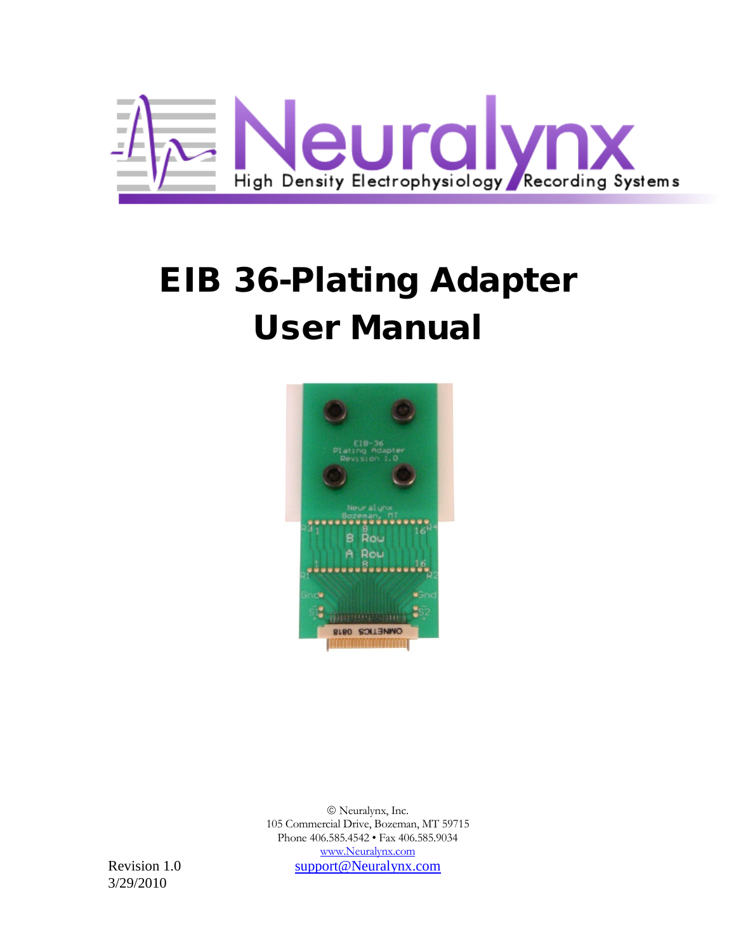

# EIB 36-Plating Adapter User Manual



 Neuralynx, Inc. 105 Commercial Drive, Bozeman, MT 59715 Phone 406.585.4542 • Fax 406.585.9034 [www.Neuralynx.com](http://www.neuralynx.com/) Revision 1.0 [support@Neuralynx.com](mailto:support@Neuralynx.com)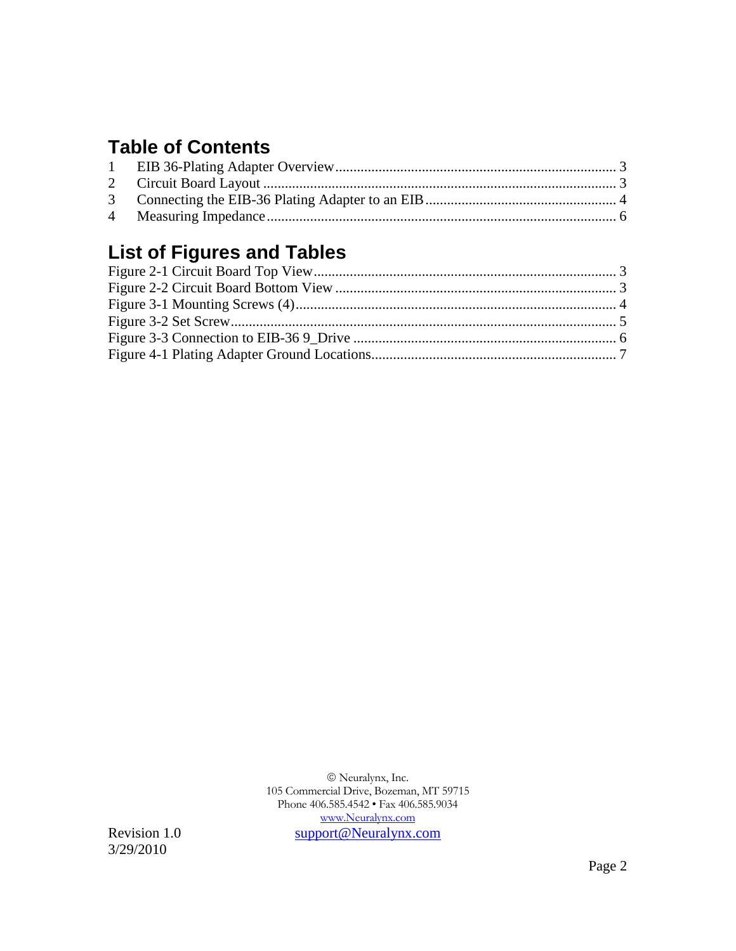#### **Table of Contents**

# **List of Figures and Tables**

 Neuralynx, Inc. 105 Commercial Drive, Bozeman, MT 59715 Phone 406.585.4542 • Fax 406.585.9034 [www.Neuralynx.com](http://www.neuralynx.com/) Revision 1.0 [support@Neuralynx.com](mailto:support@Neuralynx.com)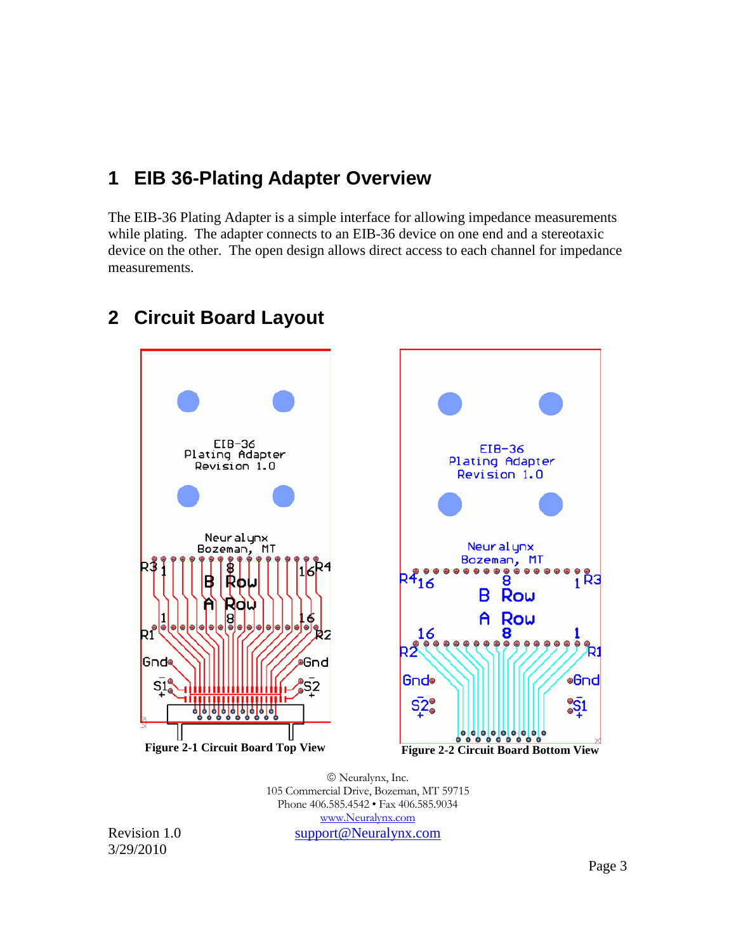#### <span id="page-2-0"></span>**1 EIB 36-Plating Adapter Overview**

The EIB-36 Plating Adapter is a simple interface for allowing impedance measurements while plating. The adapter connects to an EIB-36 device on one end and a stereotaxic device on the other. The open design allows direct access to each channel for impedance measurements.



## <span id="page-2-1"></span>**2 Circuit Board Layout**

<span id="page-2-3"></span><span id="page-2-2"></span> Neuralynx, Inc. 105 Commercial Drive, Bozeman, MT 59715 Phone 406.585.4542 • Fax 406.585.9034 [www.Neuralynx.com](http://www.neuralynx.com/) Revision 1.0 [support@Neuralynx.com](mailto:support@Neuralynx.com)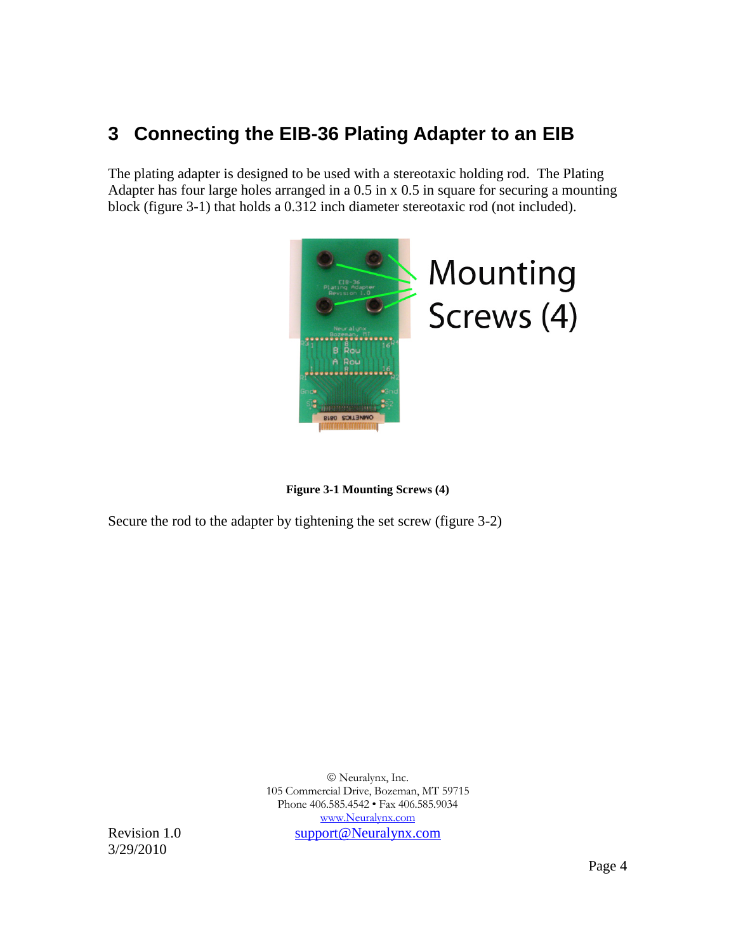## <span id="page-3-0"></span>**3 Connecting the EIB-36 Plating Adapter to an EIB**

The plating adapter is designed to be used with a stereotaxic holding rod. The Plating Adapter has four large holes arranged in a 0.5 in x 0.5 in square for securing a mounting block (figure 3-1) that holds a 0.312 inch diameter stereotaxic rod (not included).



**Figure 3-1 Mounting Screws (4)**

<span id="page-3-1"></span>Secure the rod to the adapter by tightening the set screw (figure 3-2)

 Neuralynx, Inc. 105 Commercial Drive, Bozeman, MT 59715 Phone 406.585.4542 • Fax 406.585.9034 [www.Neuralynx.com](http://www.neuralynx.com/) Revision 1.0 [support@Neuralynx.com](mailto:support@Neuralynx.com)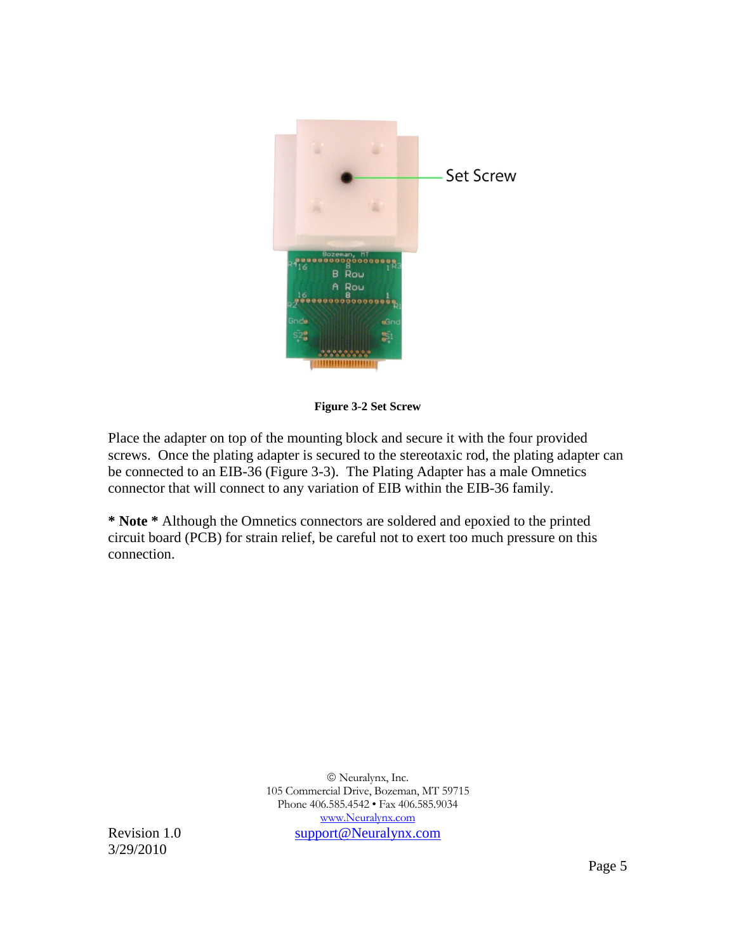

**Figure 3-2 Set Screw**

<span id="page-4-0"></span>Place the adapter on top of the mounting block and secure it with the four provided screws. Once the plating adapter is secured to the stereotaxic rod, the plating adapter can be connected to an EIB-36 [\(Figure 3-3\)](#page-5-1). The Plating Adapter has a male Omnetics connector that will connect to any variation of EIB within the EIB-36 family.

**\* Note \*** Although the Omnetics connectors are soldered and epoxied to the printed circuit board (PCB) for strain relief, be careful not to exert too much pressure on this connection.

 Neuralynx, Inc. 105 Commercial Drive, Bozeman, MT 59715 Phone 406.585.4542 • Fax 406.585.9034 [www.Neuralynx.com](http://www.neuralynx.com/) Revision 1.0 [support@Neuralynx.com](mailto:support@Neuralynx.com)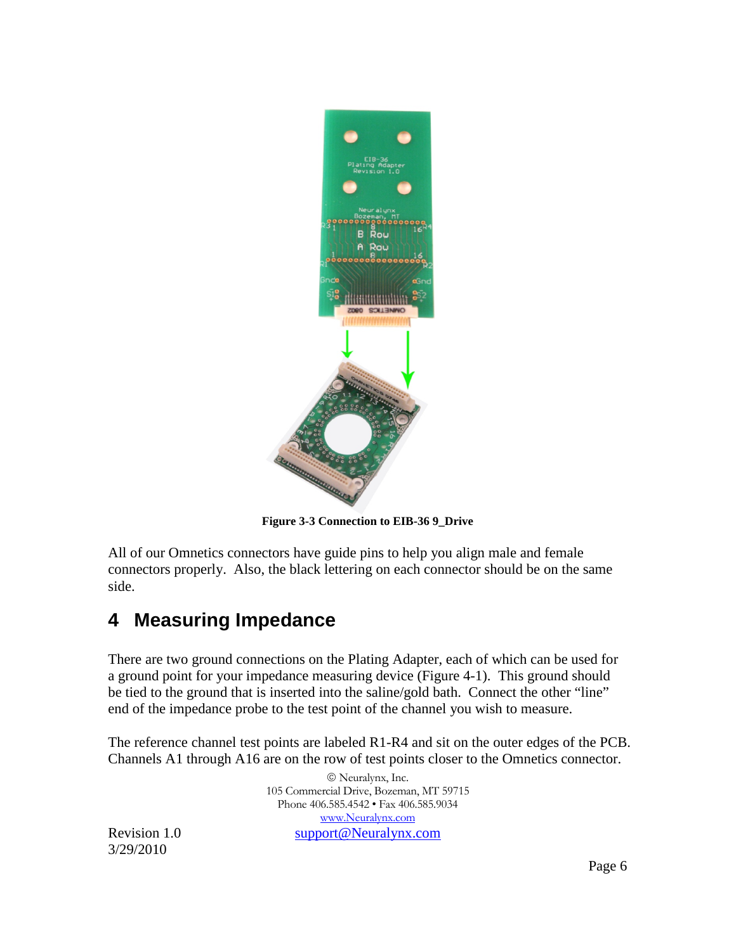

**Figure 3-3 Connection to EIB-36 9\_Drive**

<span id="page-5-1"></span>All of our Omnetics connectors have guide pins to help you align male and female connectors properly. Also, the black lettering on each connector should be on the same side.

#### <span id="page-5-0"></span>**4 Measuring Impedance**

There are two ground connections on the Plating Adapter, each of which can be used for a ground point for your impedance measuring device [\(Figure 4-1\)](#page-6-0). This ground should be tied to the ground that is inserted into the saline/gold bath. Connect the other "line" end of the impedance probe to the test point of the channel you wish to measure.

The reference channel test points are labeled R1-R4 and sit on the outer edges of the PCB. Channels A1 through A16 are on the row of test points closer to the Omnetics connector.

 Neuralynx, Inc. 105 Commercial Drive, Bozeman, MT 59715 Phone 406.585.4542 • Fax 406.585.9034 [www.Neuralynx.com](http://www.neuralynx.com/) Revision 1.0 [support@Neuralynx.com](mailto:support@Neuralynx.com)